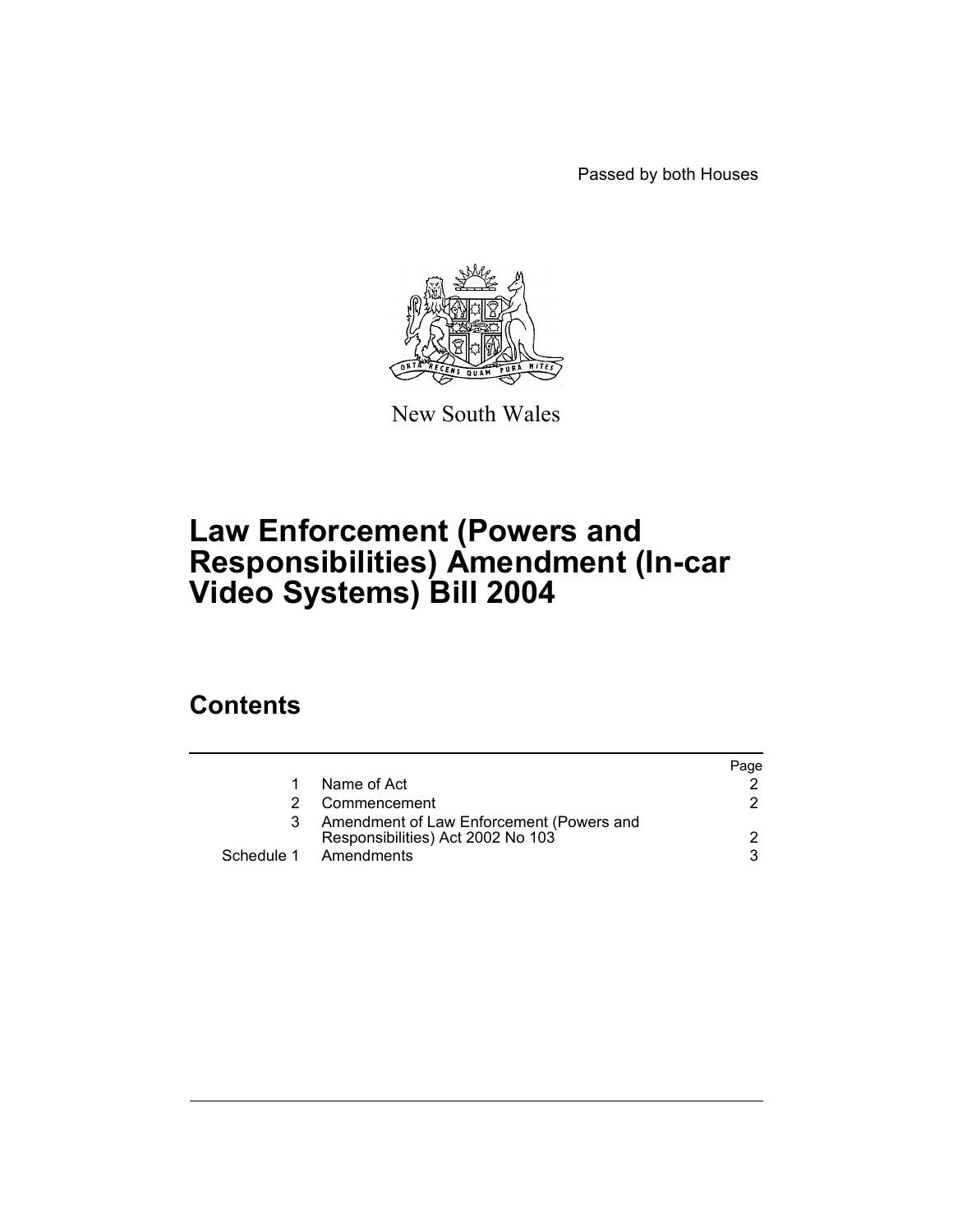Passed by both Houses



New South Wales

## **Law Enforcement (Powers and Responsibilities) Amendment (In-car Video Systems) Bill 2004**

## **Contents**

|                                                                               | Page |
|-------------------------------------------------------------------------------|------|
| Name of Act                                                                   |      |
| Commencement                                                                  |      |
| Amendment of Law Enforcement (Powers and<br>Responsibilities) Act 2002 No 103 |      |
| Schedule 1 Amendments                                                         |      |
|                                                                               |      |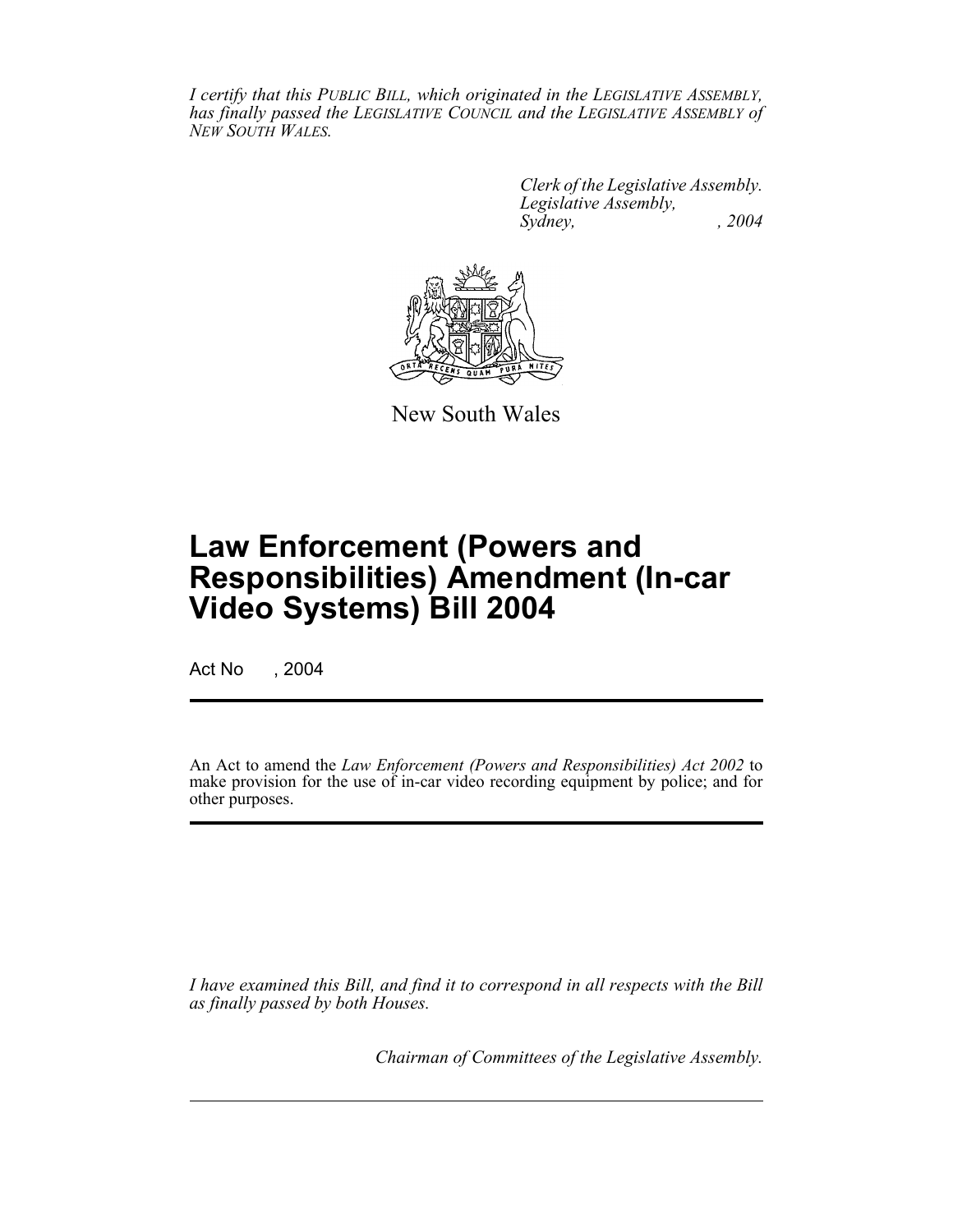*I certify that this PUBLIC BILL, which originated in the LEGISLATIVE ASSEMBLY, has finally passed the LEGISLATIVE COUNCIL and the LEGISLATIVE ASSEMBLY of NEW SOUTH WALES.*

> *Clerk of the Legislative Assembly. Legislative Assembly, Sydney, , 2004*



New South Wales

# **Law Enforcement (Powers and Responsibilities) Amendment (In-car Video Systems) Bill 2004**

Act No , 2004

An Act to amend the *Law Enforcement (Powers and Responsibilities) Act 2002* to make provision for the use of in-car video recording equipment by police; and for other purposes.

*I have examined this Bill, and find it to correspond in all respects with the Bill as finally passed by both Houses.*

*Chairman of Committees of the Legislative Assembly.*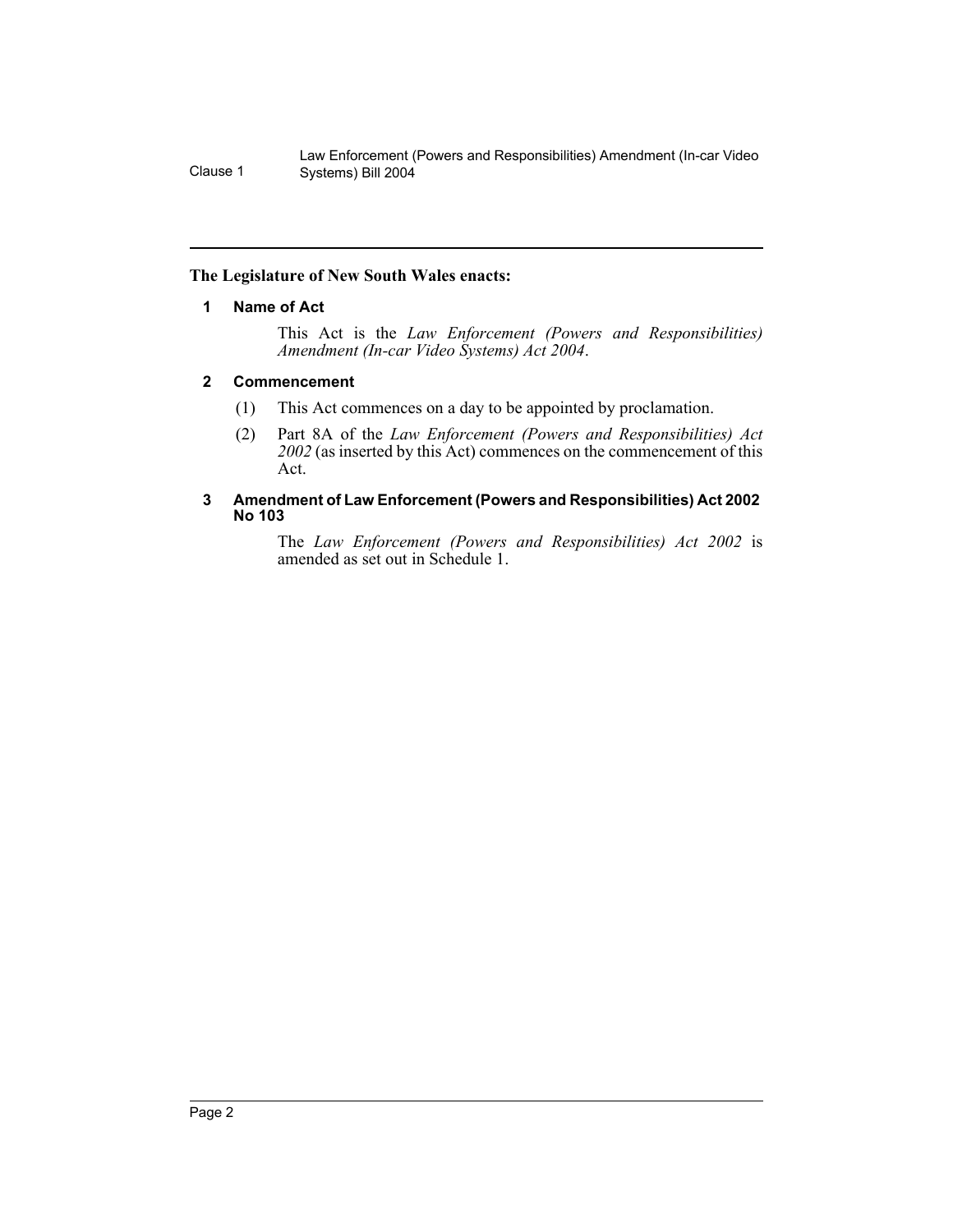Law Enforcement (Powers and Responsibilities) Amendment (In-car Video Clause 1 Systems) Bill 2004

### **The Legislature of New South Wales enacts:**

### **1 Name of Act**

This Act is the *Law Enforcement (Powers and Responsibilities) Amendment (In-car Video Systems) Act 2004*.

### **2 Commencement**

- (1) This Act commences on a day to be appointed by proclamation.
- (2) Part 8A of the *Law Enforcement (Powers and Responsibilities) Act 2002* (as inserted by this Act) commences on the commencement of this Act.

### **3 Amendment of Law Enforcement (Powers and Responsibilities) Act 2002 No 103**

The *Law Enforcement (Powers and Responsibilities) Act 2002* is amended as set out in Schedule 1.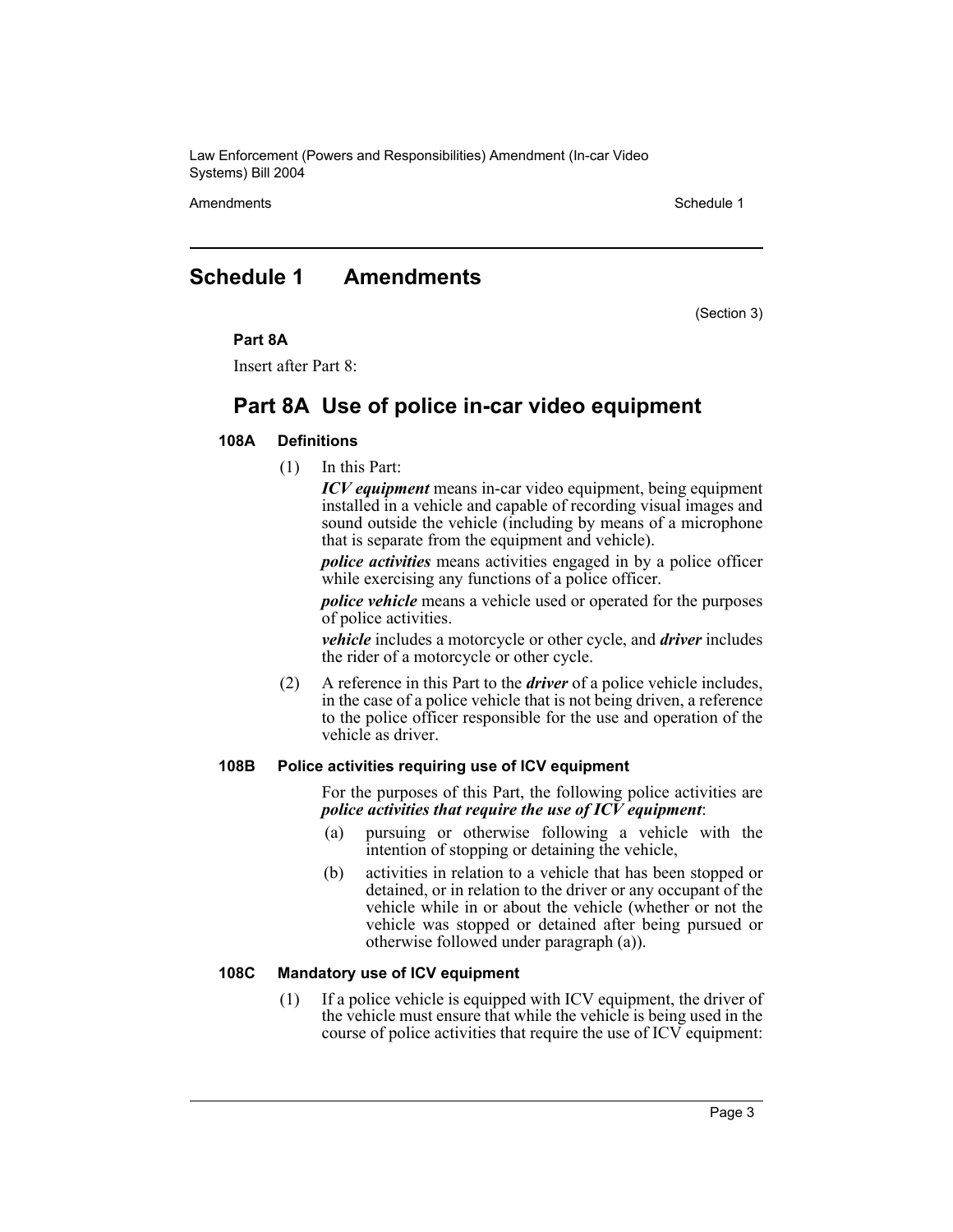Law Enforcement (Powers and Responsibilities) Amendment (In-car Video Systems) Bill 2004

Amendments Schedule 1

### **Schedule 1 Amendments**

(Section 3)

### **Part 8A**

Insert after Part 8:

### **Part 8A Use of police in-car video equipment**

### **108A Definitions**

(1) In this Part:

*ICV equipment* means in-car video equipment, being equipment installed in a vehicle and capable of recording visual images and sound outside the vehicle (including by means of a microphone that is separate from the equipment and vehicle).

*police activities* means activities engaged in by a police officer while exercising any functions of a police officer.

*police vehicle* means a vehicle used or operated for the purposes of police activities.

*vehicle* includes a motorcycle or other cycle, and *driver* includes the rider of a motorcycle or other cycle.

(2) A reference in this Part to the *driver* of a police vehicle includes, in the case of a police vehicle that is not being driven, a reference to the police officer responsible for the use and operation of the vehicle as driver.

### **108B Police activities requiring use of ICV equipment**

For the purposes of this Part, the following police activities are *police activities that require the use of ICV equipment*:

- (a) pursuing or otherwise following a vehicle with the intention of stopping or detaining the vehicle,
- (b) activities in relation to a vehicle that has been stopped or detained, or in relation to the driver or any occupant of the vehicle while in or about the vehicle (whether or not the vehicle was stopped or detained after being pursued or otherwise followed under paragraph (a)).

### **108C Mandatory use of ICV equipment**

(1) If a police vehicle is equipped with ICV equipment, the driver of the vehicle must ensure that while the vehicle is being used in the course of police activities that require the use of  $\text{ICV}$  equipment: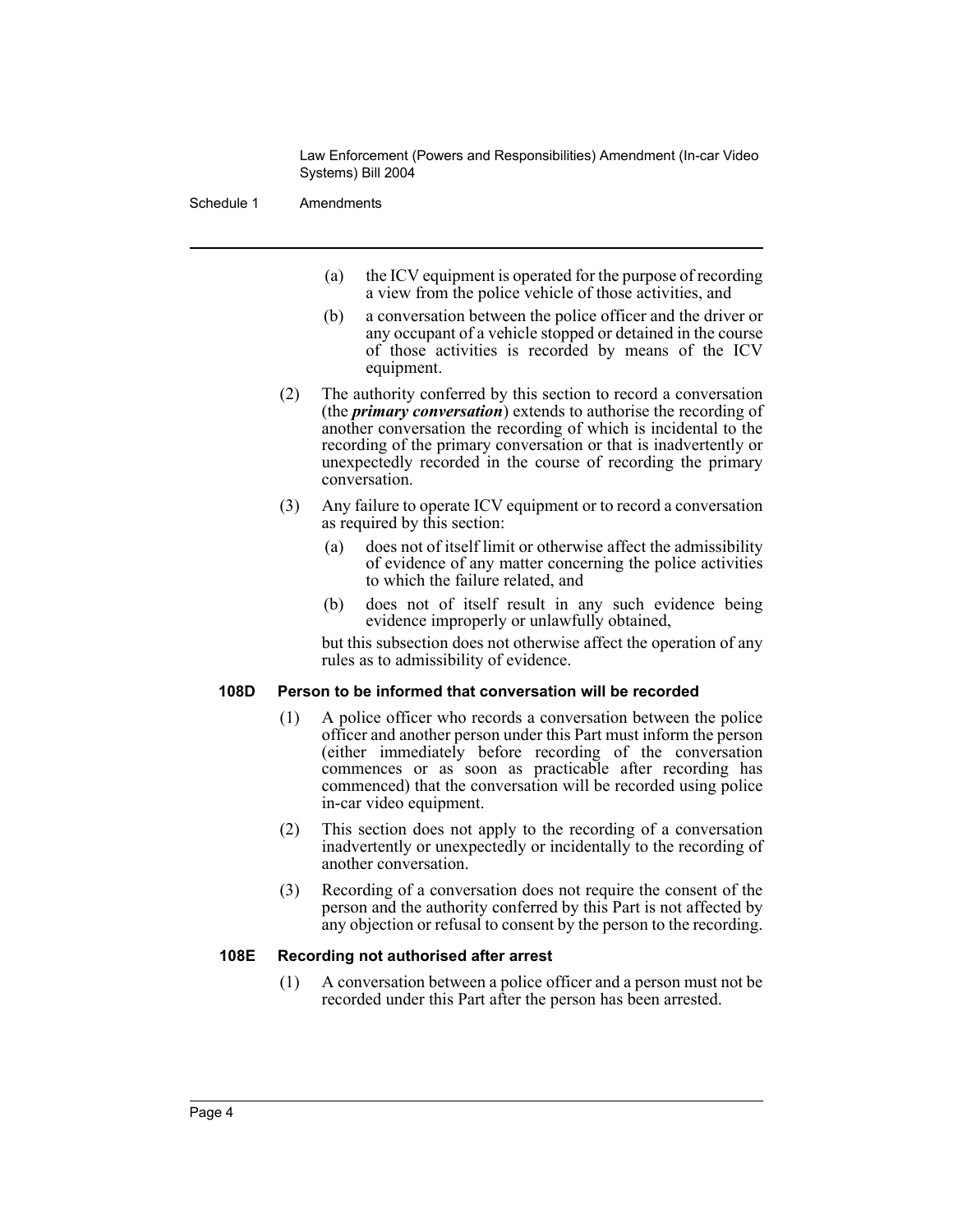Law Enforcement (Powers and Responsibilities) Amendment (In-car Video Systems) Bill 2004

Schedule 1 Amendments

- (a) the ICV equipment is operated for the purpose of recording a view from the police vehicle of those activities, and
- (b) a conversation between the police officer and the driver or any occupant of a vehicle stopped or detained in the course of those activities is recorded by means of the ICV equipment.
- (2) The authority conferred by this section to record a conversation (the *primary conversation*) extends to authorise the recording of another conversation the recording of which is incidental to the recording of the primary conversation or that is inadvertently or unexpectedly recorded in the course of recording the primary conversation.
- (3) Any failure to operate ICV equipment or to record a conversation as required by this section:
	- (a) does not of itself limit or otherwise affect the admissibility of evidence of any matter concerning the police activities to which the failure related, and
	- (b) does not of itself result in any such evidence being evidence improperly or unlawfully obtained,

but this subsection does not otherwise affect the operation of any rules as to admissibility of evidence.

### **108D Person to be informed that conversation will be recorded**

- (1) A police officer who records a conversation between the police officer and another person under this Part must inform the person (either immediately before recording of the conversation commences or as soon as practicable after recording has commenced) that the conversation will be recorded using police in-car video equipment.
- (2) This section does not apply to the recording of a conversation inadvertently or unexpectedly or incidentally to the recording of another conversation.
- (3) Recording of a conversation does not require the consent of the person and the authority conferred by this Part is not affected by any objection or refusal to consent by the person to the recording.

### **108E Recording not authorised after arrest**

(1) A conversation between a police officer and a person must not be recorded under this Part after the person has been arrested.